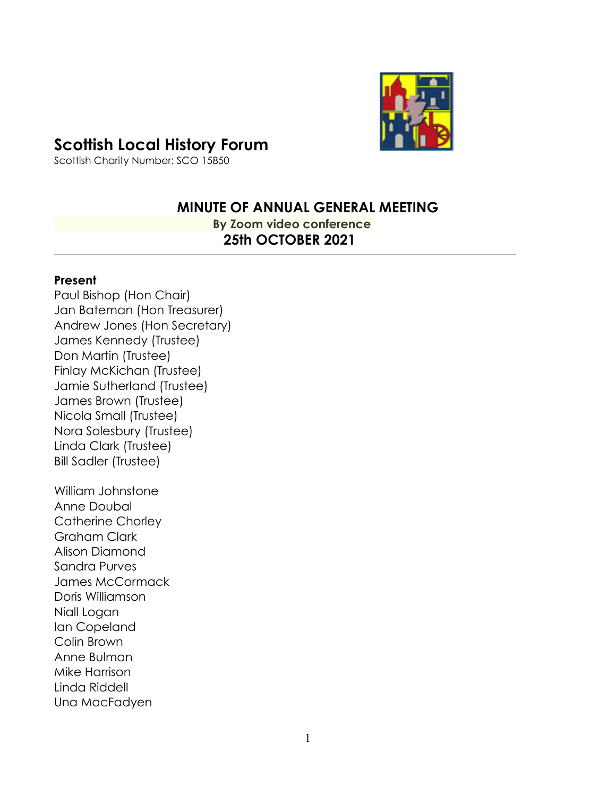# **Scottish Local History Forum**



Scottish Charity Number: SCO 15850

# **MINUTE OF ANNUAL GENERAL MEETING**

 **By Zoom video conference 25th OCTOBER 2021** 

#### **Present**

Paul Bishop (Hon Chair) Jan Bateman (Hon Treasurer) Andrew Jones (Hon Secretary) James Kennedy (Trustee) Don Martin (Trustee) Finlay McKichan (Trustee) Jamie Sutherland (Trustee) James Brown (Trustee) Nicola Small (Trustee) Nora Solesbury (Trustee) Linda Clark (Trustee) Bill Sadler (Trustee)

William Johnstone Anne Doubal Catherine Chorley Graham Clark Alison Diamond Sandra Purves James McCormack Doris Williamson Niall Logan Ian Copeland Colin Brown Anne Bulman Mike Harrison Linda Riddell Una MacFadyen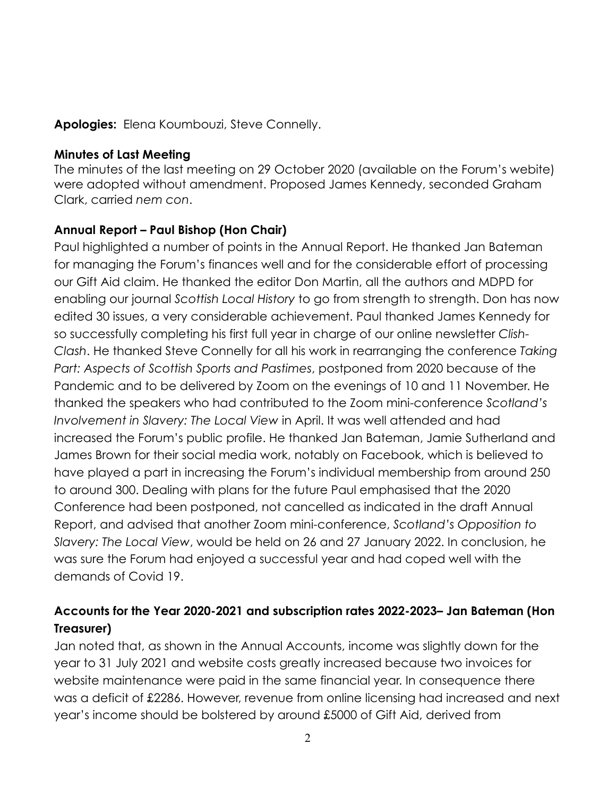### **Apologies:** Elena Koumbouzi, Steve Connelly.

#### **Minutes of Last Meeting**

The minutes of the last meeting on 29 October 2020 (available on the Forum's webite) were adopted without amendment. Proposed James Kennedy, seconded Graham Clark, carried *nem con*.

### **Annual Report – Paul Bishop (Hon Chair)**

Paul highlighted a number of points in the Annual Report. He thanked Jan Bateman for managing the Forum's finances well and for the considerable effort of processing our Gift Aid claim. He thanked the editor Don Martin, all the authors and MDPD for enabling our journal *Scottish Local History* to go from strength to strength. Don has now edited 30 issues, a very considerable achievement. Paul thanked James Kennedy for so successfully completing his first full year in charge of our online newsletter *Clish-Clash*. He thanked Steve Connelly for all his work in rearranging the conference *Taking Part: Aspects of Scottish Sports and Pastimes*, postponed from 2020 because of the Pandemic and to be delivered by Zoom on the evenings of 10 and 11 November. He thanked the speakers who had contributed to the Zoom mini-conference *Scotland's Involvement in Slavery: The Local View* in April. It was well attended and had increased the Forum's public profile. He thanked Jan Bateman, Jamie Sutherland and James Brown for their social media work, notably on Facebook, which is believed to have played a part in increasing the Forum's individual membership from around 250 to around 300. Dealing with plans for the future Paul emphasised that the 2020 Conference had been postponed, not cancelled as indicated in the draft Annual Report, and advised that another Zoom mini-conference, *Scotland's Opposition to Slavery: The Local View*, would be held on 26 and 27 January 2022. In conclusion, he was sure the Forum had enjoyed a successful year and had coped well with the demands of Covid 19.

# **Accounts for the Year 2020-2021 and subscription rates 2022-2023– Jan Bateman (Hon Treasurer)**

Jan noted that, as shown in the Annual Accounts, income was slightly down for the year to 31 July 2021 and website costs greatly increased because two invoices for website maintenance were paid in the same financial year. In consequence there was a deficit of £2286. However, revenue from online licensing had increased and next year's income should be bolstered by around £5000 of Gift Aid, derived from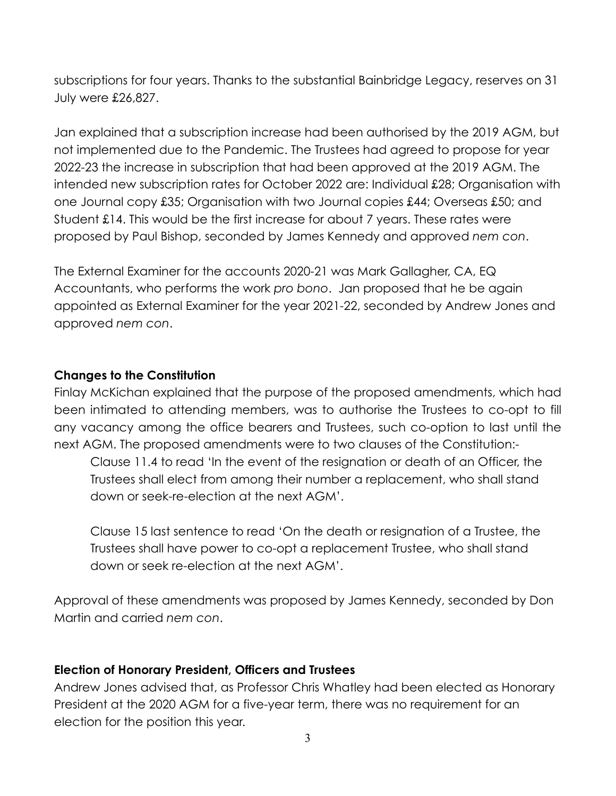subscriptions for four years. Thanks to the substantial Bainbridge Legacy, reserves on 31 July were £26,827.

Jan explained that a subscription increase had been authorised by the 2019 AGM, but not implemented due to the Pandemic. The Trustees had agreed to propose for year 2022-23 the increase in subscription that had been approved at the 2019 AGM. The intended new subscription rates for October 2022 are: Individual £28; Organisation with one Journal copy £35; Organisation with two Journal copies £44; Overseas £50; and Student £14. This would be the first increase for about 7 years. These rates were proposed by Paul Bishop, seconded by James Kennedy and approved *nem con*.

The External Examiner for the accounts 2020-21 was Mark Gallagher, CA, EQ Accountants, who performs the work *pro bono*. Jan proposed that he be again appointed as External Examiner for the year 2021-22, seconded by Andrew Jones and approved *nem con*.

### **Changes to the Constitution**

Finlay McKichan explained that the purpose of the proposed amendments, which had been intimated to attending members, was to authorise the Trustees to co-opt to fill any vacancy among the office bearers and Trustees, such co-option to last until the next AGM. The proposed amendments were to two clauses of the Constitution:-

Clause 11.4 to read 'In the event of the resignation or death of an Officer, the Trustees shall elect from among their number a replacement, who shall stand down or seek-re-election at the next AGM'.

Clause 15 last sentence to read 'On the death or resignation of a Trustee, the Trustees shall have power to co-opt a replacement Trustee, who shall stand down or seek re-election at the next AGM'.

Approval of these amendments was proposed by James Kennedy, seconded by Don Martin and carried *nem con*.

### **Election of Honorary President, Officers and Trustees**

Andrew Jones advised that, as Professor Chris Whatley had been elected as Honorary President at the 2020 AGM for a five-year term, there was no requirement for an election for the position this year.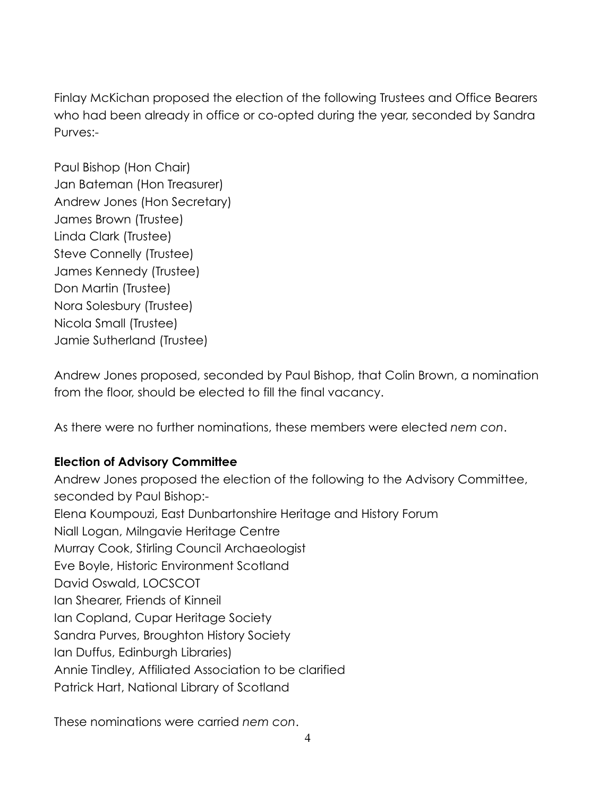Finlay McKichan proposed the election of the following Trustees and Office Bearers who had been already in office or co-opted during the year, seconded by Sandra Purves:-

Paul Bishop (Hon Chair) Jan Bateman (Hon Treasurer) Andrew Jones (Hon Secretary) James Brown (Trustee) Linda Clark (Trustee) Steve Connelly (Trustee) James Kennedy (Trustee) Don Martin (Trustee) Nora Solesbury (Trustee) Nicola Small (Trustee) Jamie Sutherland (Trustee)

Andrew Jones proposed, seconded by Paul Bishop, that Colin Brown, a nomination from the floor, should be elected to fill the final vacancy.

As there were no further nominations, these members were elected *nem con*.

### **Election of Advisory Committee**

Andrew Jones proposed the election of the following to the Advisory Committee, seconded by Paul Bishop:- Elena Koumpouzi, East Dunbartonshire Heritage and History Forum Niall Logan, Milngavie Heritage Centre Murray Cook, Stirling Council Archaeologist Eve Boyle, Historic Environment Scotland David Oswald, LOCSCOT Ian Shearer, Friends of Kinneil Ian Copland, Cupar Heritage Society Sandra Purves, Broughton History Society Ian Duffus, Edinburgh Libraries) Annie Tindley, Affiliated Association to be clarified Patrick Hart, National Library of Scotland

These nominations were carried *nem con*.